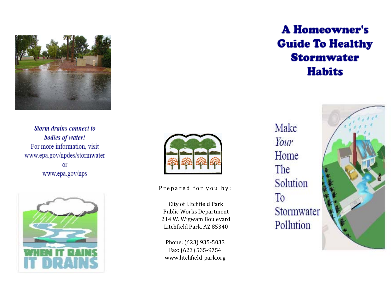

Storm drains connect to bodies of water! For more information, visit www.epa.gov/npdes/stormwater **Or** www.epa.gov/nps





Prepared for you by:

City of Litchfield Park Public Works Department 214 W. Wigwam Boulevard Litchfield Park, AZ 85340

Phone: (623) 935‐5033 Fax: (623) 535‐9754 www.litchfield‐park.org Make Your Home The Solution T<sub>o</sub> Stormwater Pollution

# **A Homeowner's Guide To Healthy Stormwater Habits**